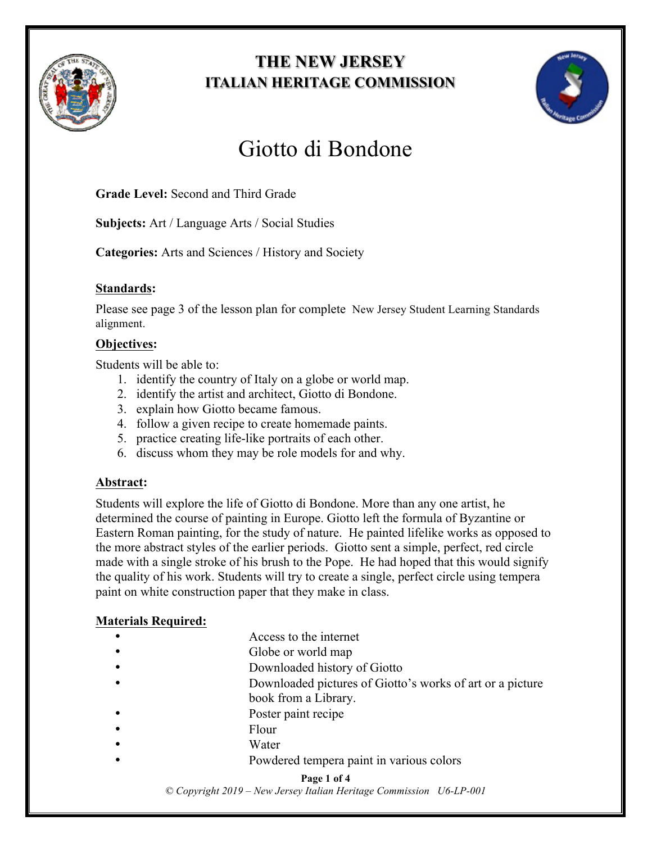

# **THE NEW JERSEY ITALIAN HERITAGE COMMISSION**



# Giotto di Bondone

**Grade Level:** Second and Third Grade

**Subjects:** Art / Language Arts / Social Studies

**Categories:** Arts and Sciences / History and Society

#### **Standards:**

Please see page 3 of the lesson plan for complete New Jersey Student Learning Standards alignment.

#### **Objectives:**

Students will be able to:

- 1. identify the country of Italy on a globe or world map.
- 2. identify the artist and architect, Giotto di Bondone.
- 3. explain how Giotto became famous.
- 4. follow a given recipe to create homemade paints.
- 5. practice creating life-like portraits of each other.
- 6. discuss whom they may be role models for and why.

#### **Abstract:**

Students will explore the life of Giotto di Bondone. More than any one artist, he determined the course of painting in Europe. Giotto left the formula of Byzantine or Eastern Roman painting, for the study of nature. He painted lifelike works as opposed to the more abstract styles of the earlier periods. Giotto sent a simple, perfect, red circle made with a single stroke of his brush to the Pope. He had hoped that this would signify the quality of his work. Students will try to create a single, perfect circle using tempera paint on white construction paper that they make in class.

#### **Materials Required:**

- Access to the internet
- Globe or world map
- Downloaded history of Giotto
	- Downloaded pictures of Giotto's works of art or a picture
- book from a Library.
- Poster paint recipe
- Flour
- **Water**
- Powdered tempera paint in various colors

#### **Page 1 of 4**

*© Copyright 2019 – New Jersey Italian Heritage Commission U6-LP-001*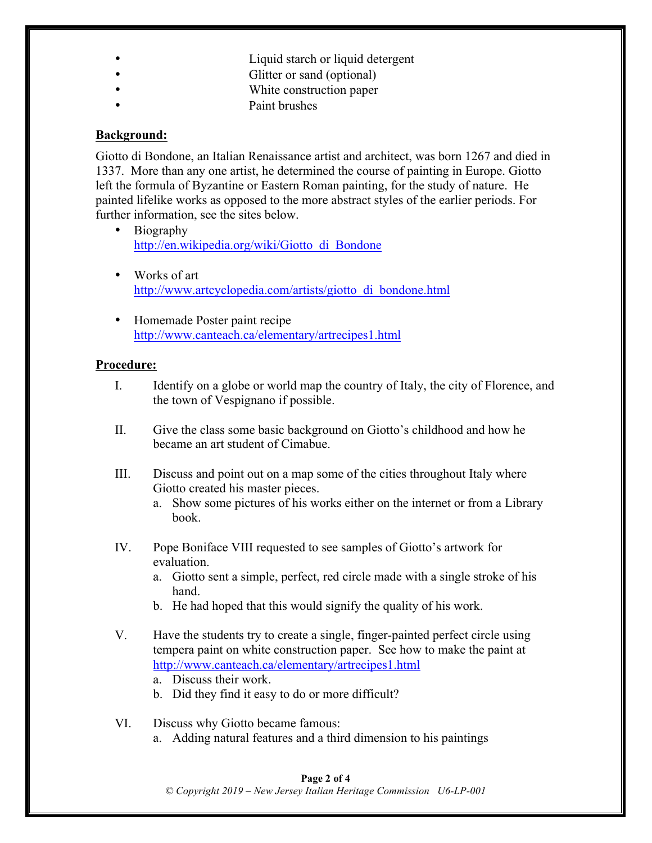- Liquid starch or liquid detergent
- Glitter or sand (optional)
- White construction paper
- Paint brushes

#### **Background:**

Giotto di Bondone, an Italian Renaissance artist and architect, was born 1267 and died in 1337. More than any one artist, he determined the course of painting in Europe. Giotto left the formula of Byzantine or Eastern Roman painting, for the study of nature. He painted lifelike works as opposed to the more abstract styles of the earlier periods. For further information, see the sites below.

- Biography http://en.wikipedia.org/wiki/Giotto\_di\_Bondone
- Works of art http://www.artcyclopedia.com/artists/giotto\_di\_bondone.html
- Homemade Poster paint recipe http://www.canteach.ca/elementary/artrecipes1.html

#### **Procedure:**

- I. Identify on a globe or world map the country of Italy, the city of Florence, and the town of Vespignano if possible.
- II. Give the class some basic background on Giotto's childhood and how he became an art student of Cimabue.
- III. Discuss and point out on a map some of the cities throughout Italy where Giotto created his master pieces.
	- a. Show some pictures of his works either on the internet or from a Library book.
- IV. Pope Boniface VIII requested to see samples of Giotto's artwork for evaluation.
	- a. Giotto sent a simple, perfect, red circle made with a single stroke of his hand.
	- b. He had hoped that this would signify the quality of his work.
- V. Have the students try to create a single, finger-painted perfect circle using tempera paint on white construction paper. See how to make the paint at http://www.canteach.ca/elementary/artrecipes1.html
	- a. Discuss their work.
	- b. Did they find it easy to do or more difficult?
- VI. Discuss why Giotto became famous:
	- a. Adding natural features and a third dimension to his paintings

#### **Page 2 of 4**

*© Copyright 2019 – New Jersey Italian Heritage Commission U6-LP-001*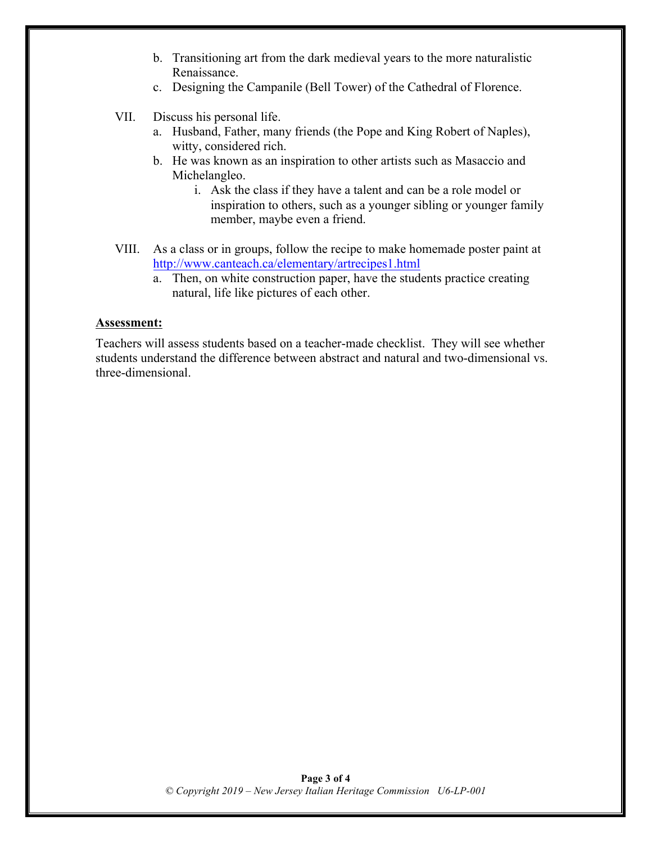- b. Transitioning art from the dark medieval years to the more naturalistic Renaissance.
- c. Designing the Campanile (Bell Tower) of the Cathedral of Florence.
- VII. Discuss his personal life.
	- a. Husband, Father, many friends (the Pope and King Robert of Naples), witty, considered rich.
	- b. He was known as an inspiration to other artists such as Masaccio and Michelangleo.
		- i. Ask the class if they have a talent and can be a role model or inspiration to others, such as a younger sibling or younger family member, maybe even a friend.
- VIII. As a class or in groups, follow the recipe to make homemade poster paint at http://www.canteach.ca/elementary/artrecipes1.html
	- a. Then, on white construction paper, have the students practice creating natural, life like pictures of each other.

#### **Assessment:**

Teachers will assess students based on a teacher-made checklist. They will see whether students understand the difference between abstract and natural and two-dimensional vs. three-dimensional.